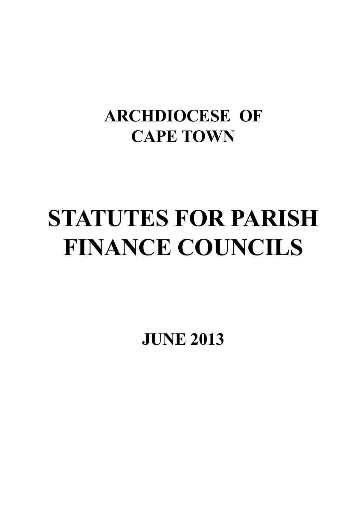# **ARCHDIOCESE OF CAPE TOWN**

# **STATUTES FOR PARISH FINANCE COUNCILS**

**JUNE 2013**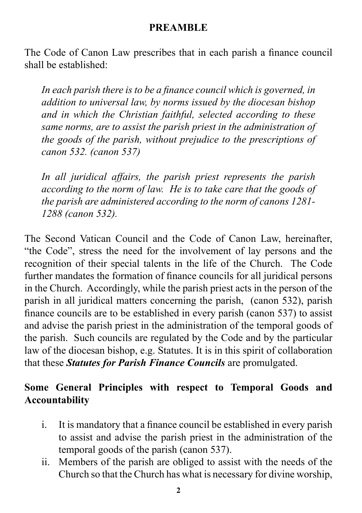#### **PREAMBLE**

The Code of Canon Law prescribes that in each parish a finance council shall be established:

*In each parish there is to be a finance council which is governed, in addition to universal law, by norms issued by the diocesan bishop and in which the Christian faithful, selected according to these same norms, are to assist the parish priest in the administration of the goods of the parish, without prejudice to the prescriptions of canon 532. (canon 537)* 

*In all juridical affairs, the parish priest represents the parish according to the norm of law. He is to take care that the goods of the parish are administered according to the norm of canons 1281- 1288 (canon 532).* 

The Second Vatican Council and the Code of Canon Law, hereinafter, "the Code", stress the need for the involvement of lay persons and the recognition of their special talents in the life of the Church. The Code further mandates the formation of finance councils for all juridical persons in the Church. Accordingly, while the parish priest acts in the person of the parish in all juridical matters concerning the parish, (canon 532), parish finance councils are to be established in every parish (canon 537) to assist and advise the parish priest in the administration of the temporal goods of the parish. Such councils are regulated by the Code and by the particular law of the diocesan bishop, e.g. Statutes. It is in this spirit of collaboration that these *Statutes for Parish Finance Councils* are promulgated.

# **Some General Principles with respect to Temporal Goods and Accountability**

- i. It is mandatory that a finance council be established in every parish to assist and advise the parish priest in the administration of the temporal goods of the parish (canon 537).
- ii. Members of the parish are obliged to assist with the needs of the Church so that the Church has what is necessary for divine worship,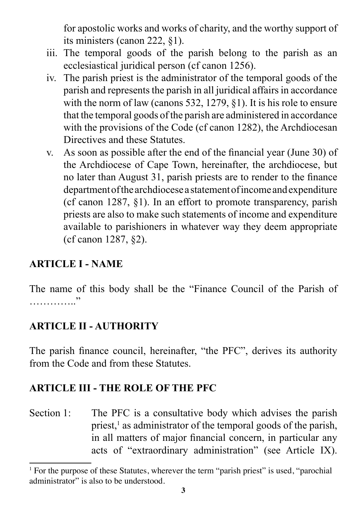for apostolic works and works of charity, and the worthy support of its ministers (canon 222, §1).

- iii. The temporal goods of the parish belong to the parish as an ecclesiastical juridical person (cf canon 1256).
- iv. The parish priest is the administrator of the temporal goods of the parish and represents the parish in all juridical affairs in accordance with the norm of law (canons 532, 1279, §1). It is his role to ensure that the temporal goods of the parish are administered in accordance with the provisions of the Code (cf canon 1282), the Archdiocesan Directives and these Statutes.
- v. As soon as possible after the end of the financial year (June 30) of the Archdiocese of Cape Town, hereinafter, the archdiocese, but no later than August 31, parish priests are to render to the finance department of the archdiocese a statement of income and expenditure (cf canon 1287, §1). In an effort to promote transparency, parish priests are also to make such statements of income and expenditure available to parishioners in whatever way they deem appropriate (cf canon 1287, §2).

#### **ARTICLE I - NAME**

The name of this body shall be the "Finance Council of the Parish of  $\sim$ 

#### **ARTICLE II - AUTHORITY**

The parish finance council, hereinafter, "the PFC", derives its authority from the Code and from these Statutes.

#### **ARTICLE III - THE ROLE OF THE PFC**

Section 1: The PFC is a consultative body which advises the parish priest,<sup>1</sup> as administrator of the temporal goods of the parish, in all matters of major financial concern, in particular any acts of "extraordinary administration" (see Article IX).

<sup>&</sup>lt;sup>1</sup> For the purpose of these Statutes, wherever the term "parish priest" is used, "parochial administrator" is also to be understood.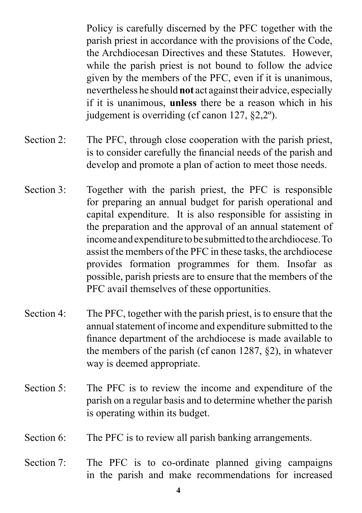Policy is carefully discerned by the PFC together with the parish priest in accordance with the provisions of the Code, the Archdiocesan Directives and these Statutes. However, while the parish priest is not bound to follow the advice given by the members of the PFC, even if it is unanimous, nevertheless he should **not** act against their advice, especially if it is unanimous, **unless** there be a reason which in his judgement is overriding (cf canon 127, §2,2º).

- Section 2: The PFC, through close cooperation with the parish priest, is to consider carefully the financial needs of the parish and develop and promote a plan of action to meet those needs.
- Section 3: Together with the parish priest, the PFC is responsible for preparing an annual budget for parish operational and capital expenditure. It is also responsible for assisting in the preparation and the approval of an annual statement of income and expenditure to be submitted to the archdiocese. To assist the members of the PFC in these tasks, the archdiocese provides formation programmes for them. Insofar as possible, parish priests are to ensure that the members of the PFC avail themselves of these opportunities.
- Section 4: The PFC, together with the parish priest, is to ensure that the annual statement of income and expenditure submitted to the finance department of the archdiocese is made available to the members of the parish (cf canon 1287, §2), in whatever way is deemed appropriate.
- Section 5: The PFC is to review the income and expenditure of the parish on a regular basis and to determine whether the parish is operating within its budget.
- Section 6: The PFC is to review all parish banking arrangements.
- Section 7: The PFC is to co-ordinate planned giving campaigns in the parish and make recommendations for increased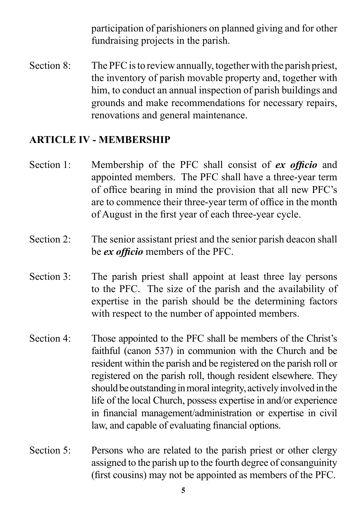participation of parishioners on planned giving and for other fundraising projects in the parish.

Section 8: The PFC is to review annually, together with the parish priest, the inventory of parish movable property and, together with him, to conduct an annual inspection of parish buildings and grounds and make recommendations for necessary repairs, renovations and general maintenance.

#### **ARTICLE IV - MEMBERSHIP**

- Section 1: Membership of the PFC shall consist of *ex officio* and appointed members. The PFC shall have a three-year term of office bearing in mind the provision that all new PFC's are to commence their three-year term of office in the month of August in the first year of each three-year cycle.
- Section 2: The senior assistant priest and the senior parish deacon shall be *ex officio* members of the PFC.
- Section 3: The parish priest shall appoint at least three lay persons to the PFC. The size of the parish and the availability of expertise in the parish should be the determining factors with respect to the number of appointed members.
- Section 4: Those appointed to the PFC shall be members of the Christ's faithful (canon 537) in communion with the Church and be resident within the parish and be registered on the parish roll or registered on the parish roll, though resident elsewhere. They should be outstanding in moral integrity, actively involved in the life of the local Church, possess expertise in and/or experience in financial management/administration or expertise in civil law, and capable of evaluating financial options.
- Section 5: Persons who are related to the parish priest or other clergy assigned to the parish up to the fourth degree of consanguinity (first cousins) may not be appointed as members of the PFC.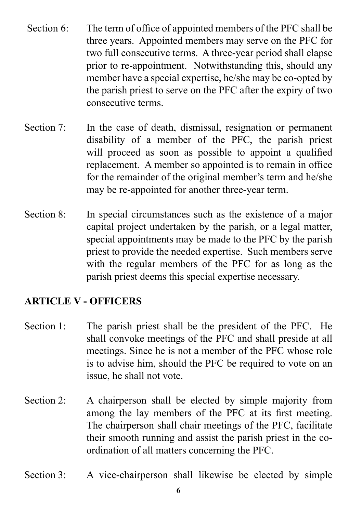- Section 6: The term of office of appointed members of the PFC shall be three years. Appointed members may serve on the PFC for two full consecutive terms. A three-year period shall elapse prior to re-appointment. Notwithstanding this, should any member have a special expertise, he/she may be co-opted by the parish priest to serve on the PFC after the expiry of two consecutive terms.
- Section 7: In the case of death, dismissal, resignation or permanent disability of a member of the PFC, the parish priest will proceed as soon as possible to appoint a qualified replacement. A member so appointed is to remain in office for the remainder of the original member's term and he/she may be re-appointed for another three-year term.
- Section 8: In special circumstances such as the existence of a major capital project undertaken by the parish, or a legal matter, special appointments may be made to the PFC by the parish priest to provide the needed expertise. Such members serve with the regular members of the PFC for as long as the parish priest deems this special expertise necessary.

# **ARTICLE V - OFFICERS**

- Section 1: The parish priest shall be the president of the PFC. He shall convoke meetings of the PFC and shall preside at all meetings. Since he is not a member of the PFC whose role is to advise him, should the PFC be required to vote on an issue, he shall not vote.
- Section 2: A chairperson shall be elected by simple majority from among the lay members of the PFC at its first meeting. The chairperson shall chair meetings of the PFC, facilitate their smooth running and assist the parish priest in the coordination of all matters concerning the PFC.
- Section 3: A vice-chairperson shall likewise be elected by simple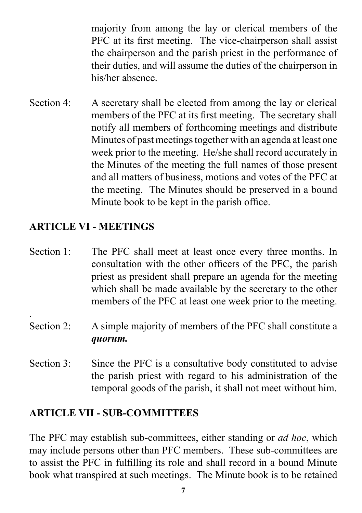majority from among the lay or clerical members of the PFC at its first meeting. The vice-chairperson shall assist the chairperson and the parish priest in the performance of their duties, and will assume the duties of the chairperson in his/her absence.

Section 4: A secretary shall be elected from among the lay or clerical members of the PFC at its first meeting. The secretary shall notify all members of forthcoming meetings and distribute Minutes of past meetings together with an agenda at least one week prior to the meeting. He/she shall record accurately in the Minutes of the meeting the full names of those present and all matters of business, motions and votes of the PFC at the meeting. The Minutes should be preserved in a bound Minute book to be kept in the parish office.

#### **ARTICLE VI - MEETINGS**

.

- Section 1: The PFC shall meet at least once every three months. In consultation with the other officers of the PFC, the parish priest as president shall prepare an agenda for the meeting which shall be made available by the secretary to the other members of the PFC at least one week prior to the meeting.
- Section 2: A simple majority of members of the PFC shall constitute a *quorum.*
- Section 3: Since the PFC is a consultative body constituted to advise the parish priest with regard to his administration of the temporal goods of the parish, it shall not meet without him.

#### **ARTICLE VII - SUB-COMMITTEES**

The PFC may establish sub-committees, either standing or *ad hoc*, which may include persons other than PFC members. These sub-committees are to assist the PFC in fulfilling its role and shall record in a bound Minute book what transpired at such meetings. The Minute book is to be retained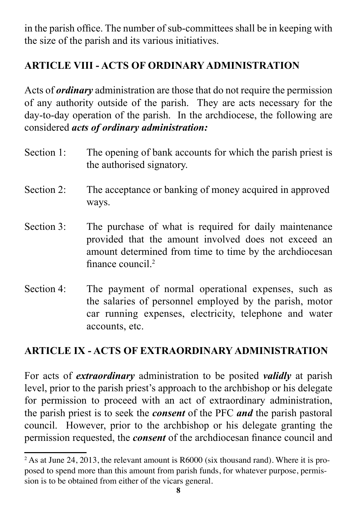in the parish office. The number of sub-committees shall be in keeping with the size of the parish and its various initiatives.

# **ARTICLE VIII - ACTS OF ORDINARY ADMINISTRATION**

Acts of *ordinary* administration are those that do not require the permission of any authority outside of the parish. They are acts necessary for the day-to-day operation of the parish. In the archdiocese, the following are considered *acts of ordinary administration:*

- Section 1: The opening of bank accounts for which the parish priest is the authorised signatory.
- Section 2: The acceptance or banking of money acquired in approved ways.
- Section 3: The purchase of what is required for daily maintenance provided that the amount involved does not exceed an amount determined from time to time by the archdiocesan finance council<sup>2</sup>
- Section 4: The payment of normal operational expenses, such as the salaries of personnel employed by the parish, motor car running expenses, electricity, telephone and water accounts, etc.

# **ARTICLE IX - ACTS OF EXTRAORDINARY ADMINISTRATION**

For acts of *extraordinary* administration to be posited *validly* at parish level, prior to the parish priest's approach to the archbishop or his delegate for permission to proceed with an act of extraordinary administration, the parish priest is to seek the *consent* of the PFC *and* the parish pastoral council. However, prior to the archbishop or his delegate granting the permission requested, the *consent* of the archdiocesan finance council and

 $2^2$  As at June 24, 2013, the relevant amount is R6000 (six thousand rand). Where it is proposed to spend more than this amount from parish funds, for whatever purpose, permission is to be obtained from either of the vicars general.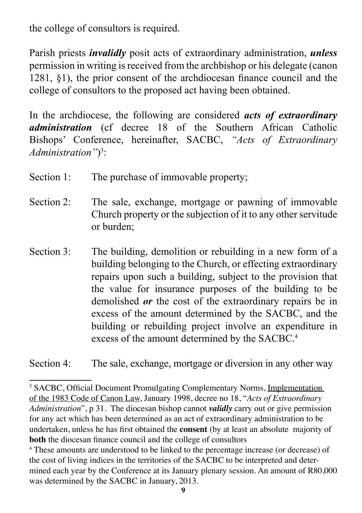the college of consultors is required.

Parish priests *invalidly* posit acts of extraordinary administration, *unless* permission in writing is received from the archbishop or his delegate (canon 1281, §1), the prior consent of the archdiocesan finance council and the college of consultors to the proposed act having been obtained.

In the archdiocese, the following are considered *acts of extraordinary administration* (cf decree 18 of the Southern African Catholic Bishops' Conference, hereinafter, SACBC, *"Acts of Extraordinary Administration"*) 3 :

| Section 1: | The purchase of immovable property; |  |
|------------|-------------------------------------|--|
|            |                                     |  |

- Section 2: The sale, exchange, mortgage or pawning of immovable Church property or the subjection of it to any other servitude or burden;
- Section 3: The building, demolition or rebuilding in a new form of a building belonging to the Church, or effecting extraordinary repairs upon such a building, subject to the provision that the value for insurance purposes of the building to be demolished *or* the cost of the extraordinary repairs be in excess of the amount determined by the SACBC, and the building or rebuilding project involve an expenditure in excess of the amount determined by the SACBC.<sup>4</sup>

Section 4: The sale, exchange, mortgage or diversion in any other way

<sup>&</sup>lt;sup>3</sup> SACBC, Official Document Promulgating Complementary Norms, Implementation of the 1983 Code of Canon Law, January 1998, decree no 18, "*Acts of Extraordinary Administration*", p 31. The diocesan bishop cannot *validly* carry out or give permission for any act which has been determined as an act of extraordinary administration to be undertaken, unless he has first obtained the **consent** (by at least an absolute majority of **both** the diocesan finance council and the college of consultors

<sup>&</sup>lt;sup>4</sup> These amounts are understood to be linked to the percentage increase (or decrease) of the cost of living indices in the territories of the SACBC to be interpreted and determined each year by the Conference at its January plenary session. An amount of R80,000 was determined by the SACBC in January, 2013.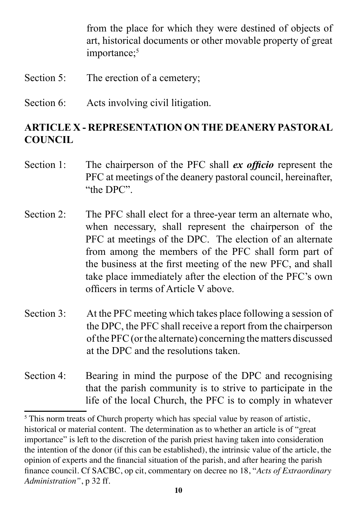from the place for which they were destined of objects of art, historical documents or other movable property of great importance:<sup>5</sup>

- Section 5: The erection of a cemetery;
- Section 6: Acts involving civil litigation.

#### **ARTICLE X - REPRESENTATION ON THE DEANERY PASTORAL COUNCIL**

- Section 1: The chairperson of the PFC shall *ex officio* represent the PFC at meetings of the deanery pastoral council, hereinafter, "the DPC".
- Section 2: The PFC shall elect for a three-year term an alternate who, when necessary, shall represent the chairperson of the PFC at meetings of the DPC. The election of an alternate from among the members of the PFC shall form part of the business at the first meeting of the new PFC, and shall take place immediately after the election of the PFC's own officers in terms of Article V above.
- Section 3: At the PFC meeting which takes place following a session of the DPC, the PFC shall receive a report from the chairperson of the PFC (or the alternate) concerning the matters discussed at the DPC and the resolutions taken.

Section 4: Bearing in mind the purpose of the DPC and recognising that the parish community is to strive to participate in the life of the local Church, the PFC is to comply in whatever

<sup>&</sup>lt;sup>5</sup> This norm treats of Church property which has special value by reason of artistic, historical or material content. The determination as to whether an article is of "great importance" is left to the discretion of the parish priest having taken into consideration the intention of the donor (if this can be established), the intrinsic value of the article, the opinion of experts and the financial situation of the parish, and after hearing the parish finance council. Cf SACBC, op cit, commentary on decree no 18, "*Acts of Extraordinary Administration"*, p 32 ff.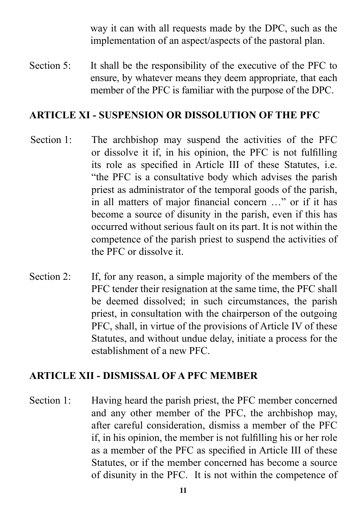way it can with all requests made by the DPC, such as the implementation of an aspect/aspects of the pastoral plan.

Section 5: It shall be the responsibility of the executive of the PFC to ensure, by whatever means they deem appropriate, that each member of the PFC is familiar with the purpose of the DPC.

#### **ARTICLE XI - SUSPENSION OR DISSOLUTION OF THE PFC**

- Section 1: The archbishop may suspend the activities of the PFC or dissolve it if, in his opinion, the PFC is not fulfilling its role as specified in Article III of these Statutes, i.e. "the PFC is a consultative body which advises the parish priest as administrator of the temporal goods of the parish, in all matters of major financial concern …" or if it has become a source of disunity in the parish, even if this has occurred without serious fault on its part. It is not within the competence of the parish priest to suspend the activities of the PFC or dissolve it.
- Section 2: If, for any reason, a simple majority of the members of the PFC tender their resignation at the same time, the PFC shall be deemed dissolved; in such circumstances, the parish priest, in consultation with the chairperson of the outgoing PFC, shall, in virtue of the provisions of Article IV of these Statutes, and without undue delay, initiate a process for the establishment of a new PFC.

#### **ARTICLE XII - DISMISSAL OF A PFC MEMBER**

Section 1: Having heard the parish priest, the PFC member concerned and any other member of the PFC, the archbishop may, after careful consideration, dismiss a member of the PFC if, in his opinion, the member is not fulfilling his or her role as a member of the PFC as specified in Article III of these Statutes, or if the member concerned has become a source of disunity in the PFC. It is not within the competence of